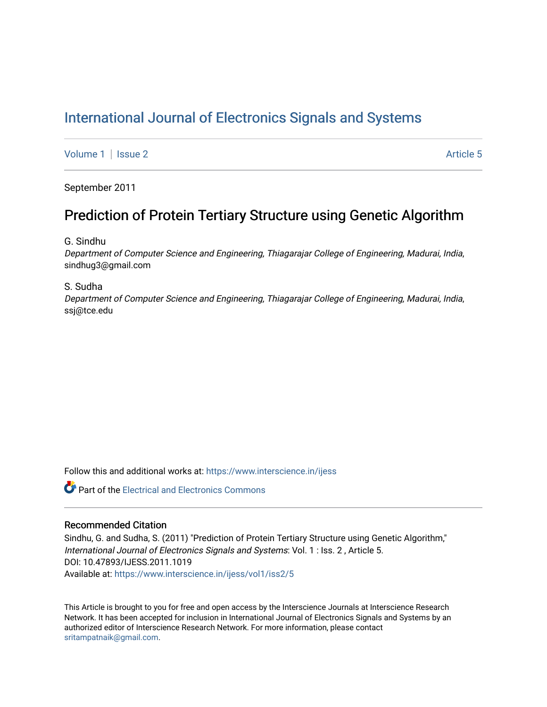# [International Journal of Electronics Signals and Systems](https://www.interscience.in/ijess)

[Volume 1](https://www.interscience.in/ijess/vol1) | [Issue 2](https://www.interscience.in/ijess/vol1/iss2) Article 5

September 2011

# Prediction of Protein Tertiary Structure using Genetic Algorithm

G. Sindhu

Department of Computer Science and Engineering, Thiagarajar College of Engineering, Madurai, India, sindhug3@gmail.com

S. Sudha

Department of Computer Science and Engineering, Thiagarajar College of Engineering, Madurai, India, ssj@tce.edu

Follow this and additional works at: [https://www.interscience.in/ijess](https://www.interscience.in/ijess?utm_source=www.interscience.in%2Fijess%2Fvol1%2Fiss2%2F5&utm_medium=PDF&utm_campaign=PDFCoverPages) 

Part of the [Electrical and Electronics Commons](http://network.bepress.com/hgg/discipline/270?utm_source=www.interscience.in%2Fijess%2Fvol1%2Fiss2%2F5&utm_medium=PDF&utm_campaign=PDFCoverPages)

# Recommended Citation

Sindhu, G. and Sudha, S. (2011) "Prediction of Protein Tertiary Structure using Genetic Algorithm," International Journal of Electronics Signals and Systems: Vol. 1 : Iss. 2 , Article 5. DOI: 10.47893/IJESS.2011.1019 Available at: [https://www.interscience.in/ijess/vol1/iss2/5](https://www.interscience.in/ijess/vol1/iss2/5?utm_source=www.interscience.in%2Fijess%2Fvol1%2Fiss2%2F5&utm_medium=PDF&utm_campaign=PDFCoverPages)

This Article is brought to you for free and open access by the Interscience Journals at Interscience Research Network. It has been accepted for inclusion in International Journal of Electronics Signals and Systems by an authorized editor of Interscience Research Network. For more information, please contact [sritampatnaik@gmail.com](mailto:sritampatnaik@gmail.com).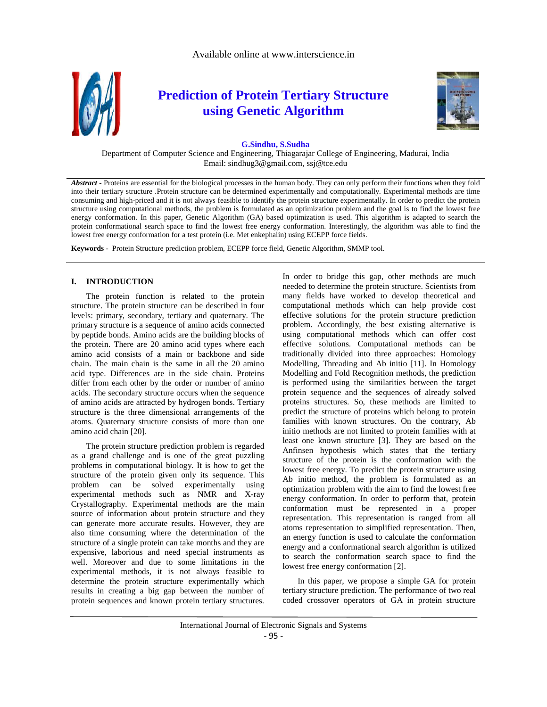

# **Prediction of Protein Tertiary Structure using Genetic Algorithm**



### **G.Sindhu, S.Sudha**

Department of Computer Science and Engineering, Thiagarajar College of Engineering, Madurai, India Email: sindhug3@gmail.com, ssj@tce.edu

*Abstract -* Proteins are essential for the biological processes in the human body. They can only perform their functions when they fold into their tertiary structure .Protein structure can be determined experimentally and computationally. Experimental methods are time consuming and high-priced and it is not always feasible to identify the protein structure experimentally. In order to predict the protein structure using computational methods, the problem is formulated as an optimization problem and the goal is to find the lowest free energy conformation. In this paper, Genetic Algorithm (GA) based optimization is used. This algorithm is adapted to search the protein conformational search space to find the lowest free energy conformation. Interestingly, the algorithm was able to find the lowest free energy conformation for a test protein (i.e. Met enkephalin) using ECEPP force fields.

**Keywords** *-* Protein Structure prediction problem, ECEPP force field, Genetic Algorithm, SMMP tool.

# **I. INTRODUCTION**

--

 The protein function is related to the protein structure. The protein structure can be described in four levels: primary, secondary, tertiary and quaternary. The primary structure is a sequence of amino acids connected by peptide bonds. Amino acids are the building blocks of the protein. There are 20 amino acid types where each amino acid consists of a main or backbone and side chain. The main chain is the same in all the 20 amino acid type. Differences are in the side chain. Proteins differ from each other by the order or number of amino acids. The secondary structure occurs when the sequence of amino acids are attracted by hydrogen bonds. Tertiary structure is the three dimensional arrangements of the atoms. Quaternary structure consists of more than one amino acid chain [20].

 The protein structure prediction problem is regarded as a grand challenge and is one of the great puzzling problems in computational biology. It is how to get the structure of the protein given only its sequence. This problem can be solved experimentally using experimental methods such as NMR and X-ray Crystallography. Experimental methods are the main source of information about protein structure and they can generate more accurate results. However, they are also time consuming where the determination of the structure of a single protein can take months and they are expensive, laborious and need special instruments as well. Moreover and due to some limitations in the experimental methods, it is not always feasible to determine the protein structure experimentally which results in creating a big gap between the number of protein sequences and known protein tertiary structures. In order to bridge this gap, other methods are much needed to determine the protein structure. Scientists from many fields have worked to develop theoretical and computational methods which can help provide cost effective solutions for the protein structure prediction problem. Accordingly, the best existing alternative is using computational methods which can offer cost effective solutions. Computational methods can be traditionally divided into three approaches: Homology Modelling, Threading and Ab initio [11]. In Homology Modelling and Fold Recognition methods, the prediction is performed using the similarities between the target protein sequence and the sequences of already solved proteins structures. So, these methods are limited to predict the structure of proteins which belong to protein families with known structures. On the contrary, Ab initio methods are not limited to protein families with at least one known structure [3]. They are based on the Anfinsen hypothesis which states that the tertiary structure of the protein is the conformation with the lowest free energy. To predict the protein structure using Ab initio method, the problem is formulated as an optimization problem with the aim to find the lowest free energy conformation. In order to perform that, protein conformation must be represented in a proper representation. This representation is ranged from all atoms representation to simplified representation. Then, an energy function is used to calculate the conformation energy and a conformational search algorithm is utilized to search the conformation search space to find the lowest free energy conformation [2].

 In this paper, we propose a simple GA for protein tertiary structure prediction. The performance of two real coded crossover operators of GA in protein structure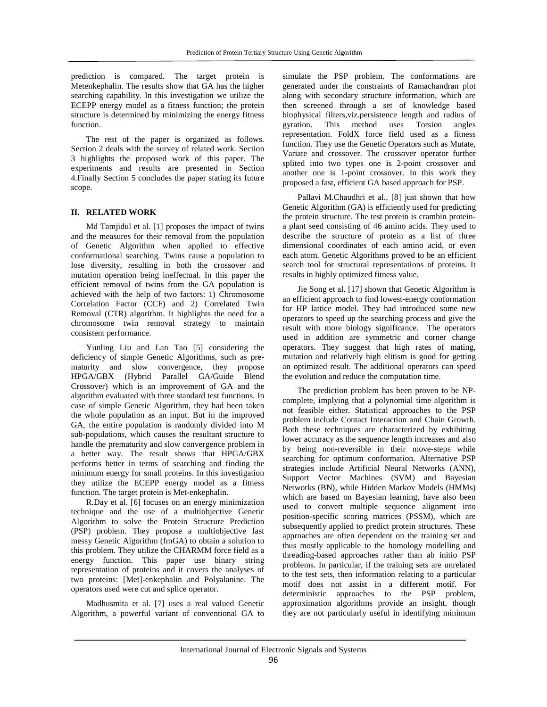prediction is compared. The target protein is Metenkephalin. The results show that GA has the higher searching capability. In this investigation we utilize the ECEPP energy model as a fitness function; the protein structure is determined by minimizing the energy fitness function.

 The rest of the paper is organized as follows. Section 2 deals with the survey of related work. Section 3 highlights the proposed work of this paper. The experiments and results are presented in Section 4.Finally Section 5 concludes the paper stating its future scope.

# **II. RELATED WORK**

 Md Tamjidul et al. [1] proposes the impact of twins and the measures for their removal from the population of Genetic Algorithm when applied to effective conformational searching. Twins cause a population to lose diversity, resulting in both the crossover and mutation operation being ineffectual. In this paper the efficient removal of twins from the GA population is achieved with the help of two factors: 1) Chromosome Correlation Factor (CCF) and 2) Correlated Twin Removal (CTR) algorithm. It highlights the need for a chromosome twin removal strategy to maintain consistent performance.

 Yunling Liu and Lan Tao [5] considering the deficiency of simple Genetic Algorithms, such as prematurity and slow convergence, they propose HPGA/GBX (Hybrid Parallel GA/Guide Blend Crossover) which is an improvement of GA and the algorithm evaluated with three standard test functions. In case of simple Genetic Algorithm, they had been taken the whole population as an input. But in the improved GA, the entire population is randomly divided into M sub-populations, which causes the resultant structure to handle the prematurity and slow convergence problem in a better way. The result shows that HPGA/GBX performs better in terms of searching and finding the minimum energy for small proteins. In this investigation they utilize the ECEPP energy model as a fitness function. The target protein is Met-enkephalin.

 R.Day et al. [6] focuses on an energy minimization technique and the use of a multiobjective Genetic Algorithm to solve the Protein Structure Prediction (PSP) problem. They propose a multiobjective fast messy Genetic Algorithm (fmGA) to obtain a solution to this problem. They utilize the CHARMM force field as a energy function. This paper use binary string representation of proteins and it covers the analyses of two proteins: [Met]-enkephalin and Polyalanine. The operators used were cut and splice operator.

 Madhusmita et al. [7] uses a real valued Genetic Algorithm, a powerful variant of conventional GA to simulate the PSP problem. The conformations are generated under the constraints of Ramachandran plot along with secondary structure information, which are then screened through a set of knowledge based biophysical filters,viz.persistence length and radius of gyration. This method uses Torsion angles representation. FoldX force field used as a fitness function. They use the Genetic Operators such as Mutate, Variate and crossover. The crossover operator further splited into two types one is 2-point crossover and another one is 1-point crossover. In this work they proposed a fast, efficient GA based approach for PSP.

 Pallavi M.Chaudhri et al., [8] just shown that how Genetic Algorithm (GA) is efficiently used for predicting the protein structure. The test protein is crambin proteina plant seed consisting of 46 amino acids. They used to describe the structure of protein as a list of three dimensional coordinates of each amino acid, or even each atom. Genetic Algorithms proved to be an efficient search tool for structural representations of proteins. It results in highly optimized fitness value.

 Jie Song et al. [17] shown that Genetic Algorithm is an efficient approach to find lowest-energy conformation for HP lattice model. They had introduced some new operators to speed up the searching process and give the result with more biology significance. The operators used in addition are symmetric and corner change operators. They suggest that high rates of mating, mutation and relatively high elitism is good for getting an optimized result. The additional operators can speed the evolution and reduce the computation time.

 The prediction problem has been proven to be NPcomplete, implying that a polynomial time algorithm is not feasible either. Statistical approaches to the PSP problem include Contact Interaction and Chain Growth. Both these techniques are characterized by exhibiting lower accuracy as the sequence length increases and also by being non-reversible in their move-steps while searching for optimum conformation. Alternative PSP strategies include Artificial Neural Networks (ANN), Support Vector Machines (SVM) and Bayesian Networks (BN), while Hidden Markov Models (HMMs) which are based on Bayesian learning, have also been used to convert multiple sequence alignment into position-specific scoring matrices (PSSM), which are subsequently applied to predict protein structures. These approaches are often dependent on the training set and thus mostly applicable to the homology modelling and threading-based approaches rather than ab initio PSP problems. In particular, if the training sets are unrelated to the test sets, then information relating to a particular motif does not assist in a different motif. For deterministic approaches to the PSP problem, approximation algorithms provide an insight, though they are not particularly useful in identifying minimum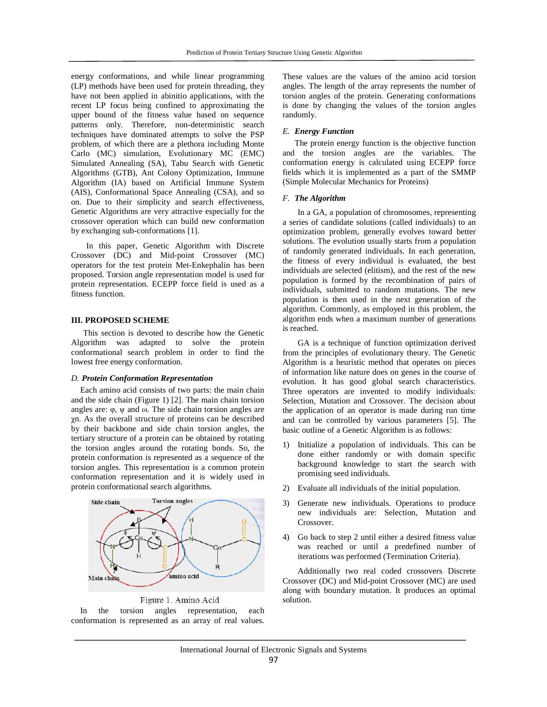energy conformations, and while linear programming (LP) methods have been used for protein threading, they have not been applied in abinitio applications, with the recent LP focus being confined to approximating the upper bound of the fitness value based on sequence patterns only. Therefore, non-deterministic search techniques have dominated attempts to solve the PSP problem, of which there are a plethora including Monte Carlo (MC) simulation, Evolutionary MC (EMC) Simulated Annealing (SA), Tabu Search with Genetic Algorithms (GTB), Ant Colony Optimization, Immune Algorithm (IA) based on Artificial Immune System (AIS), Conformational Space Annealing (CSA), and so on. Due to their simplicity and search effectiveness, Genetic Algorithms are very attractive especially for the crossover operation which can build new conformation by exchanging sub-conformations [1].

 In this paper, Genetic Algorithm with Discrete Crossover (DC) and Mid-point Crossover (MC) operators for the test protein Met-Enkephalin has been proposed. Torsion angle representation model is used for protein representation. ECEPP force field is used as a fitness function.

#### **III. PROPOSED SCHEME**

This section is devoted to describe how the Genetic Algorithm was adapted to solve the protein conformational search problem in order to find the lowest free energy conformation.

#### *D. Protein Conformation Representation*

Each amino acid consists of two parts: the main chain and the side chain (Figure 1) [2]. The main chain torsion angles are: φ, ψ and ω. The side chain torsion angles are χn. As the overall structure of proteins can be described by their backbone and side chain torsion angles, the tertiary structure of a protein can be obtained by rotating the torsion angles around the rotating bonds. So, the protein conformation is represented as a sequence of the torsion angles. This representation is a common protein conformation representation and it is widely used in protein conformational search algorithms.





In the torsion angles representation, each conformation is represented as an array of real values. These values are the values of the amino acid torsion angles. The length of the array represents the number of torsion angles of the protein. Generating conformations is done by changing the values of the torsion angles randomly.

#### *E. Energy Function*

The protein energy function is the objective function and the torsion angles are the variables. The conformation energy is calculated using ECEPP force fields which it is implemented as a part of the SMMP (Simple Molecular Mechanics for Proteins)

#### *F. The Algorithm*

 In a GA, a population of chromosomes, representing a series of candidate solutions (called individuals) to an optimization problem, generally evolves toward better solutions. The evolution usually starts from a population of randomly generated individuals. In each generation, the fitness of every individual is evaluated, the best individuals are selected (elitism), and the rest of the new population is formed by the recombination of pairs of individuals, submitted to random mutations. The new population is then used in the next generation of the algorithm. Commonly, as employed in this problem, the algorithm ends when a maximum number of generations is reached.

 GA is a technique of function optimization derived from the principles of evolutionary theory. The Genetic Algorithm is a heuristic method that operates on pieces of information like nature does on genes in the course of evolution. It has good global search characteristics. Three operators are invented to modify individuals: Selection, Mutation and Crossover. The decision about the application of an operator is made during run time and can be controlled by various parameters [5]. The basic outline of a Genetic Algorithm is as follows:

- 1) Initialize a population of individuals. This can be done either randomly or with domain specific background knowledge to start the search with promising seed individuals.
- 2) Evaluate all individuals of the initial population.
- 3) Generate new individuals. Operations to produce new individuals are: Selection, Mutation and Crossover.
- 4) Go back to step 2 until either a desired fitness value was reached or until a predefined number of iterations was performed (Termination Criteria).

 Additionally two real coded crossovers Discrete Crossover (DC) and Mid-point Crossover (MC) are used along with boundary mutation. It produces an optimal solution.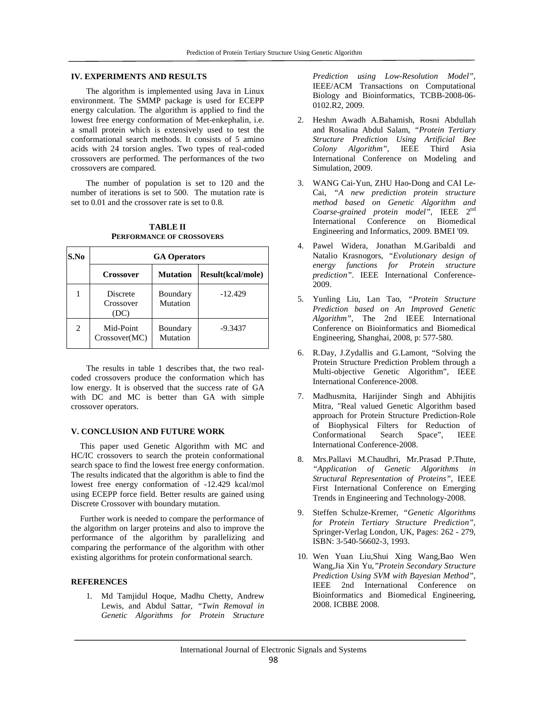### **IV. EXPERIMENTS AND RESULTS**

 The algorithm is implemented using Java in Linux environment. The SMMP package is used for ECEPP energy calculation. The algorithm is applied to find the lowest free energy conformation of Met-enkephalin, i.e. a small protein which is extensively used to test the conformational search methods. It consists of 5 amino acids with 24 torsion angles. Two types of real-coded crossovers are performed. The performances of the two crossovers are compared.

 The number of population is set to 120 and the number of iterations is set to 500. The mutation rate is set to 0.01 and the crossover rate is set to 0.8.

| S.No | <b>GA Operators</b>                  |                      |                   |
|------|--------------------------------------|----------------------|-------------------|
|      | <b>Crossover</b>                     | <b>Mutation</b>      | Result(kcal/mole) |
|      | <b>Discrete</b><br>Crossover<br>(DC) | Boundary<br>Mutation | $-12.429$         |
| 2    | Mid-Point<br>Crossover(MC)           | Boundary<br>Mutation | $-9.3437$         |

**TABLE II PERFORMANCE OF CROSSOVERS**

 The results in table 1 describes that, the two realcoded crossovers produce the conformation which has low energy. It is observed that the success rate of GA with DC and MC is better than GA with simple crossover operators.

## **V. CONCLUSION AND FUTURE WORK**

This paper used Genetic Algorithm with MC and HC/IC crossovers to search the protein conformational search space to find the lowest free energy conformation. The results indicated that the algorithm is able to find the lowest free energy conformation of -12.429 kcal/mol using ECEPP force field. Better results are gained using Discrete Crossover with boundary mutation.

Further work is needed to compare the performance of the algorithm on larger proteins and also to improve the performance of the algorithm by parallelizing and comparing the performance of the algorithm with other existing algorithms for protein conformational search.

#### **REFERENCES**

1. Md Tamjidul Hoque, Madhu Chetty, Andrew Lewis, and Abdul Sattar, *"Twin Removal in Genetic Algorithms for Protein Structure*  *Prediction using Low-Resolution Model",* IEEE/ACM Transactions on Computational Biology and Bioinformatics, TCBB-2008-06- 0102.R2, 2009.

- 2. Heshm Awadh A.Bahamish, Rosni Abdullah and Rosalina Abdul Salam, *"Protein Tertiary Structure Prediction Using Artificial Bee Colony Algorithm"*, IEEE Third Asia International Conference on Modeling and Simulation, 2009.
- 3. WANG Cai-Yun, ZHU Hao-Dong and CAI Le-Cai, *"A new prediction protein structure method based on Genetic Algorithm and Coarse-grained protein model"*, IEEE 2nd International Conference on Biomedical Engineering and Informatics, 2009. BMEI '09.
- 4. Pawel Widera, Jonathan M.Garibaldi and Natalio Krasnogors, *"Evolutionary design of energy functions for Protein structure prediction"*. IEEE International Conference-2009.
- 5. Yunling Liu, Lan Tao, *"Protein Structure Prediction based on An Improved Genetic Algorithm"*, The 2nd IEEE International Conference on Bioinformatics and Biomedical Engineering, Shanghai, 2008, p: 577-580.
- 6. R.Day, J.Zydallis and G.Lamont, "Solving the Protein Structure Prediction Problem through a Multi-objective Genetic Algorithm", IEEE International Conference-2008.
- 7. Madhusmita, Harijinder Singh and Abhijitis Mitra, "Real valued Genetic Algorithm based approach for Protein Structure Prediction-Role of Biophysical Filters for Reduction of<br>Conformational Search Space". IEEE Conformational Search Space", IEEE International Conference-2008.
- 8. Mrs.Pallavi M.Chaudhri, Mr.Prasad P.Thute, *"Application of Genetic Algorithms in Structural Representation of Proteins"*, IEEE First International Conference on Emerging Trends in Engineering and Technology-2008.
- 9. Steffen Schulze-Kremer, *"Genetic Algorithms for Protein Tertiary Structure Prediction",* Springer-Verlag London, UK, Pages: 262 - 279, ISBN: 3-540-56602-3, 1993.
- 10. Wen Yuan Liu,Shui Xing Wang,Bao Wen Wang,Jia Xin Yu*,"Protein Secondary Structure Prediction Using SVM with Bayesian Method"*, IEEE 2nd International Conference on Bioinformatics and Biomedical Engineering, 2008. ICBBE 2008.